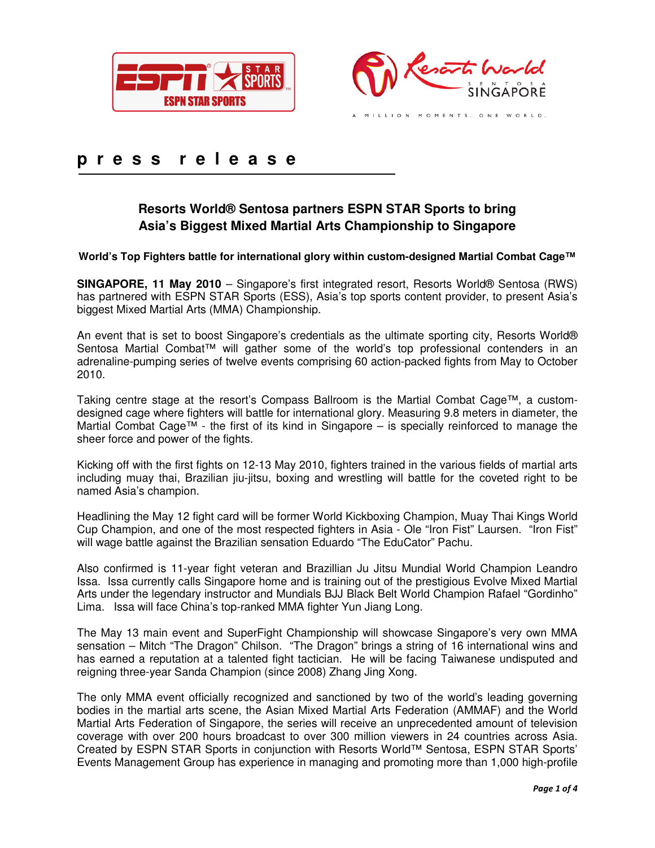



# **p r e s s r e l e a s e**

## **Resorts World® Sentosa partners ESPN STAR Sports to bring Asia's Biggest Mixed Martial Arts Championship to Singapore**

## **World's Top Fighters battle for international glory within custom-designed Martial Combat Cage™**

**SINGAPORE, 11 May 2010** – Singapore's first integrated resort, Resorts World® Sentosa (RWS) has partnered with ESPN STAR Sports (ESS), Asia's top sports content provider, to present Asia's biggest Mixed Martial Arts (MMA) Championship.

An event that is set to boost Singapore's credentials as the ultimate sporting city, Resorts World® Sentosa Martial Combat™ will gather some of the world's top professional contenders in an adrenaline-pumping series of twelve events comprising 60 action-packed fights from May to October 2010.

Taking centre stage at the resort's Compass Ballroom is the Martial Combat Cage™, a customdesigned cage where fighters will battle for international glory. Measuring 9.8 meters in diameter, the Martial Combat Cage™ - the first of its kind in Singapore – is specially reinforced to manage the sheer force and power of the fights.

Kicking off with the first fights on 12-13 May 2010, fighters trained in the various fields of martial arts including muay thai, Brazilian jiu-jitsu, boxing and wrestling will battle for the coveted right to be named Asia's champion.

Headlining the May 12 fight card will be former World Kickboxing Champion, Muay Thai Kings World Cup Champion, and one of the most respected fighters in Asia - Ole "Iron Fist" Laursen. "Iron Fist" will wage battle against the Brazilian sensation Eduardo "The EduCator" Pachu.

Also confirmed is 11-year fight veteran and Brazillian Ju Jitsu Mundial World Champion Leandro Issa. Issa currently calls Singapore home and is training out of the prestigious Evolve Mixed Martial Arts under the legendary instructor and Mundials BJJ Black Belt World Champion Rafael "Gordinho" Lima. Issa will face China's top-ranked MMA fighter Yun Jiang Long.

The May 13 main event and SuperFight Championship will showcase Singapore's very own MMA sensation – Mitch "The Dragon" Chilson. "The Dragon" brings a string of 16 international wins and has earned a reputation at a talented fight tactician. He will be facing Taiwanese undisputed and reigning three-year Sanda Champion (since 2008) Zhang Jing Xong.

The only MMA event officially recognized and sanctioned by two of the world's leading governing bodies in the martial arts scene, the Asian Mixed Martial Arts Federation (AMMAF) and the World Martial Arts Federation of Singapore, the series will receive an unprecedented amount of television coverage with over 200 hours broadcast to over 300 million viewers in 24 countries across Asia. Created by ESPN STAR Sports in conjunction with Resorts World™ Sentosa, ESPN STAR Sports' Events Management Group has experience in managing and promoting more than 1,000 high-profile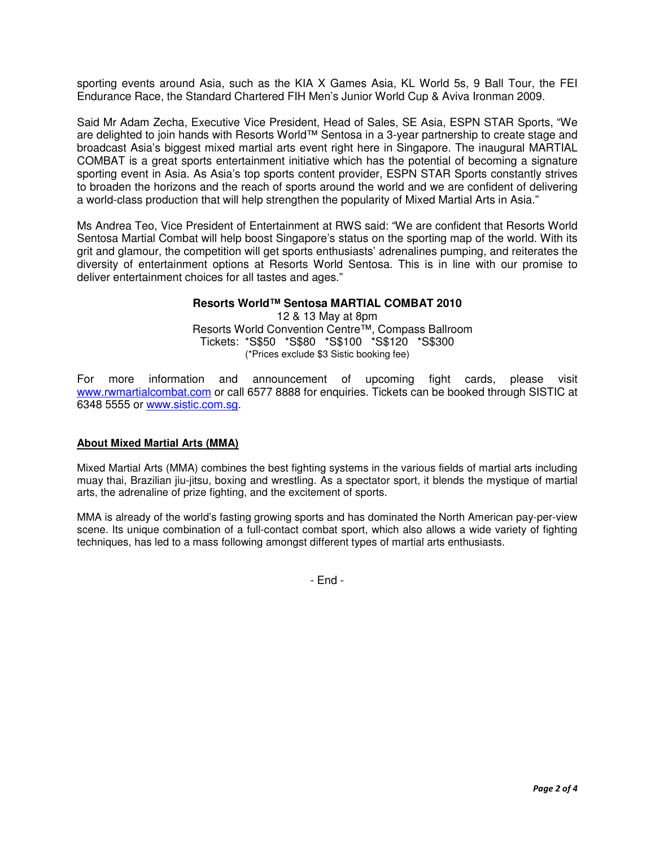sporting events around Asia, such as the KIA X Games Asia, KL World 5s, 9 Ball Tour, the FEI Endurance Race, the Standard Chartered FIH Men's Junior World Cup & Aviva Ironman 2009.

Said Mr Adam Zecha, Executive Vice President, Head of Sales, SE Asia, ESPN STAR Sports, "We are delighted to join hands with Resorts World™ Sentosa in a 3-year partnership to create stage and broadcast Asia's biggest mixed martial arts event right here in Singapore. The inaugural MARTIAL COMBAT is a great sports entertainment initiative which has the potential of becoming a signature sporting event in Asia. As Asia's top sports content provider, ESPN STAR Sports constantly strives to broaden the horizons and the reach of sports around the world and we are confident of delivering a world-class production that will help strengthen the popularity of Mixed Martial Arts in Asia."

Ms Andrea Teo, Vice President of Entertainment at RWS said: "We are confident that Resorts World Sentosa Martial Combat will help boost Singapore's status on the sporting map of the world. With its grit and glamour, the competition will get sports enthusiasts' adrenalines pumping, and reiterates the diversity of entertainment options at Resorts World Sentosa. This is in line with our promise to deliver entertainment choices for all tastes and ages."

## **Resorts World™ Sentosa MARTIAL COMBAT 2010**

12 & 13 May at 8pm Resorts World Convention Centre™, Compass Ballroom Tickets: \*S\$50 \*S\$80 \*S\$100 \*S\$120 \*S\$300 (\*Prices exclude \$3 Sistic booking fee)

For more information and announcement of upcoming fight cards, please visit www.rwmartialcombat.com or call 6577 8888 for enquiries. Tickets can be booked through SISTIC at 6348 5555 or www.sistic.com.sg.

#### **About Mixed Martial Arts (MMA)**

Mixed Martial Arts (MMA) combines the best fighting systems in the various fields of martial arts including muay thai, Brazilian jiu-jitsu, boxing and wrestling. As a spectator sport, it blends the mystique of martial arts, the adrenaline of prize fighting, and the excitement of sports.

MMA is already of the world's fasting growing sports and has dominated the North American pay-per-view scene. Its unique combination of a full-contact combat sport, which also allows a wide variety of fighting techniques, has led to a mass following amongst different types of martial arts enthusiasts.

- End -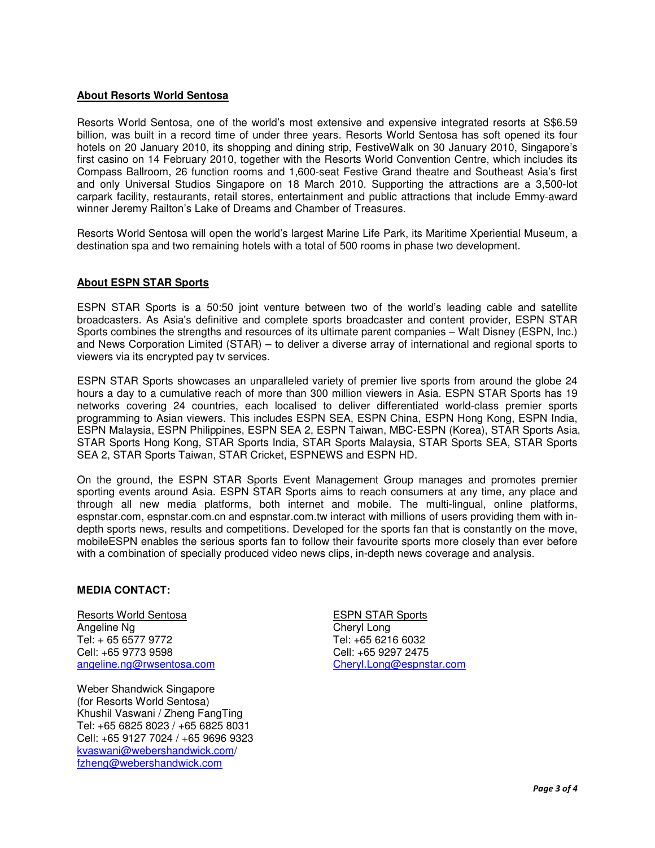#### **About Resorts World Sentosa**

Resorts World Sentosa, one of the world's most extensive and expensive integrated resorts at S\$6.59 billion, was built in a record time of under three years. Resorts World Sentosa has soft opened its four hotels on 20 January 2010, its shopping and dining strip, FestiveWalk on 30 January 2010, Singapore's first casino on 14 February 2010, together with the Resorts World Convention Centre, which includes its Compass Ballroom, 26 function rooms and 1,600-seat Festive Grand theatre and Southeast Asia's first and only Universal Studios Singapore on 18 March 2010. Supporting the attractions are a 3,500-lot carpark facility, restaurants, retail stores, entertainment and public attractions that include Emmy-award winner Jeremy Railton's Lake of Dreams and Chamber of Treasures.

Resorts World Sentosa will open the world's largest Marine Life Park, its Maritime Xperiential Museum, a destination spa and two remaining hotels with a total of 500 rooms in phase two development.

## **About ESPN STAR Sports**

ESPN STAR Sports is a 50:50 joint venture between two of the world's leading cable and satellite broadcasters. As Asia's definitive and complete sports broadcaster and content provider, ESPN STAR Sports combines the strengths and resources of its ultimate parent companies – Walt Disney (ESPN, Inc.) and News Corporation Limited (STAR) – to deliver a diverse array of international and regional sports to viewers via its encrypted pay tv services.

ESPN STAR Sports showcases an unparalleled variety of premier live sports from around the globe 24 hours a day to a cumulative reach of more than 300 million viewers in Asia. ESPN STAR Sports has 19 networks covering 24 countries, each localised to deliver differentiated world-class premier sports programming to Asian viewers. This includes ESPN SEA, ESPN China, ESPN Hong Kong, ESPN India, ESPN Malaysia, ESPN Philippines, ESPN SEA 2, ESPN Taiwan, MBC-ESPN (Korea), STAR Sports Asia, STAR Sports Hong Kong, STAR Sports India, STAR Sports Malaysia, STAR Sports SEA, STAR Sports SEA 2, STAR Sports Taiwan, STAR Cricket, ESPNEWS and ESPN HD.

On the ground, the ESPN STAR Sports Event Management Group manages and promotes premier sporting events around Asia. ESPN STAR Sports aims to reach consumers at any time, any place and through all new media platforms, both internet and mobile. The multi-lingual, online platforms, espnstar.com, espnstar.com.cn and espnstar.com.tw interact with millions of users providing them with indepth sports news, results and competitions. Developed for the sports fan that is constantly on the move, mobileESPN enables the serious sports fan to follow their favourite sports more closely than ever before with a combination of specially produced video news clips, in-depth news coverage and analysis.

#### **MEDIA CONTACT:**

Resorts World Sentosa Angeline Ng Tel: + 65 6577 9772 Cell: +65 9773 9598 angeline.ng@rwsentosa.com

Weber Shandwick Singapore (for Resorts World Sentosa) Khushil Vaswani / Zheng FangTing Tel: +65 6825 8023 / +65 6825 8031 Cell: +65 9127 7024 / +65 9696 9323 kvaswani@webershandwick.com/ fzheng@webershandwick.com

ESPN STAR Sports Cheryl Long Tel: +65 6216 6032 Cell: +65 9297 2475 Cheryl.Long@espnstar.com